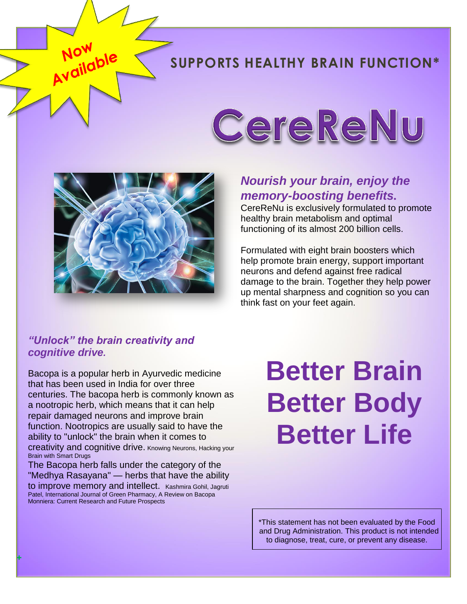# **SUPPORTS HEALTHY BRAIN FUNCTION\***



## *Nourish your brain, enjoy the memory-boosting benefits.*

CerekeNu

CereReNu is exclusively formulated to promote healthy brain metabolism and optimal functioning of its almost 200 billion cells.

Formulated with eight brain boosters which help promote brain energy, support important neurons and defend against free radical damage to the brain. Together they help power up mental sharpness and cognition so you can think fast on your feet again.

#### *"Unlock" the brain creativity and cognitive drive.*

Now<br>Now<br>Now

Bacopa is a popular herb in Ayurvedic medicine that has been used in India for over three centuries. The bacopa herb is commonly known as a nootropic herb, which means that it can help repair damaged neurons and improve brain function. Nootropics are usually said to have the ability to "unlock" the brain when it comes to creativity and cognitive drive. [Knowing Neurons, Hacking your](http://knowingneurons.com/2016/05/25/smart-drugs/)  [Brain with Smart Drugs](http://knowingneurons.com/2016/05/25/smart-drugs/)

The Bacopa herb falls under the category of the "Medhya Rasayana" — herbs that have the ability to improve memory and intellect. Kashmira Gohil, Jagruti [Patel, International Journal of Green Pharmacy, A Review on Bacopa](http://www.greenpharmacy.info/index.php/ijgp/article/view/111)  [Monniera: Current Research and Future Prospects](http://www.greenpharmacy.info/index.php/ijgp/article/view/111)

**+**

# **Better Brain Better Body Better Life**

\*This statement has not been evaluated by the Food and Drug Administration. This product is not intended to diagnose, treat, cure, or prevent any disease.